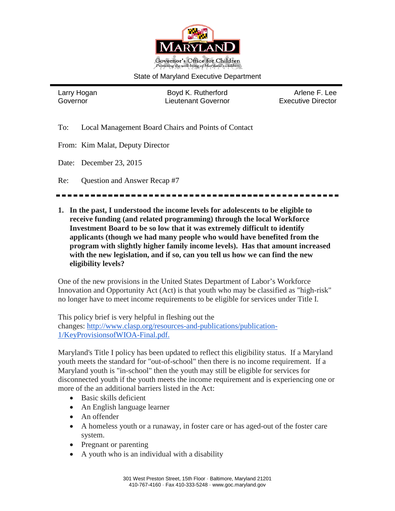

#### State of Maryland Executive Department

Larry Hogan **Boyd K. Rutherford** Arlene F. Lee Governor Lieutenant Governor Executive Director

To: Local Management Board Chairs and Points of Contact

From: Kim Malat, Deputy Director

Date: December 23, 2015

Re: Question and Answer Recap #7

**1. In the past, I understood the income levels for adolescents to be eligible to receive funding (and related programming) through the local Workforce Investment Board to be so low that it was extremely difficult to identify applicants (though we had many people who would have benefited from the program with slightly higher family income levels). Has that amount increased with the new legislation, and if so, can you tell us how we can find the new eligibility levels?**

One of the new provisions in the United States Department of Labor's Workforce Innovation and Opportunity Act (Act) is that youth who may be classified as "high-risk" no longer have to meet income requirements to be eligible for services under Title I.

This policy brief is very helpful in fleshing out the changes: [http://www.clasp.org/resources-and-publications/publication-](http://www.clasp.org/resources-and-publications/publication-1/KeyProvisionsofWIOA-Final.pdf)[1/KeyProvisionsofWIOA-Final.pdf.](http://www.clasp.org/resources-and-publications/publication-1/KeyProvisionsofWIOA-Final.pdf)

Maryland's Title I policy has been updated to reflect this eligibility status. If a Maryland youth meets the standard for "out-of-school" then there is no income requirement. If a Maryland youth is "in-school" then the youth may still be eligible for services for disconnected youth if the youth meets the income requirement and is experiencing one or more of the an additional barriers listed in the Act:

- Basic skills deficient
- An English language learner
- An offender
- A homeless youth or a runaway, in foster care or has aged-out of the foster care system.
- Pregnant or parenting
- A youth who is an individual with a disability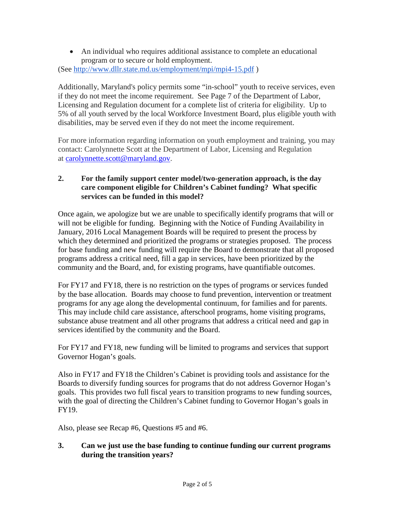• An individual who requires additional assistance to complete an educational program or to secure or hold employment. (See <http://www.dllr.state.md.us/employment/mpi/mpi4-15.pdf> )

Additionally, Maryland's policy permits some "in-school" youth to receive services, even if they do not meet the income requirement. See Page 7 of the Department of Labor, Licensing and Regulation document for a complete list of criteria for eligibility. Up to 5% of all youth served by the local Workforce Investment Board, plus eligible youth with disabilities, may be served even if they do not meet the income requirement.

For more information regarding information on youth employment and training, you may contact: Carolynnette Scott at the Department of Labor, Licensing and Regulation at [carolynnette.scott@maryland.gov.](mailto:carolynnette.scott@maryland.gov)

## **2. For the family support center model/two-generation approach, is the day care component eligible for Children's Cabinet funding? What specific services can be funded in this model?**

Once again, we apologize but we are unable to specifically identify programs that will or will not be eligible for funding. Beginning with the Notice of Funding Availability in January, 2016 Local Management Boards will be required to present the process by which they determined and prioritized the programs or strategies proposed. The process for base funding and new funding will require the Board to demonstrate that all proposed programs address a critical need, fill a gap in services, have been prioritized by the community and the Board, and, for existing programs, have quantifiable outcomes.

For FY17 and FY18, there is no restriction on the types of programs or services funded by the base allocation. Boards may choose to fund prevention, intervention or treatment programs for any age along the developmental continuum, for families and for parents. This may include child care assistance, afterschool programs, home visiting programs, substance abuse treatment and all other programs that address a critical need and gap in services identified by the community and the Board.

For FY17 and FY18, new funding will be limited to programs and services that support Governor Hogan's goals.

Also in FY17 and FY18 the Children's Cabinet is providing tools and assistance for the Boards to diversify funding sources for programs that do not address Governor Hogan's goals. This provides two full fiscal years to transition programs to new funding sources, with the goal of directing the Children's Cabinet funding to Governor Hogan's goals in FY19.

Also, please see Recap #6, Questions #5 and #6.

# **3. Can we just use the base funding to continue funding our current programs during the transition years?**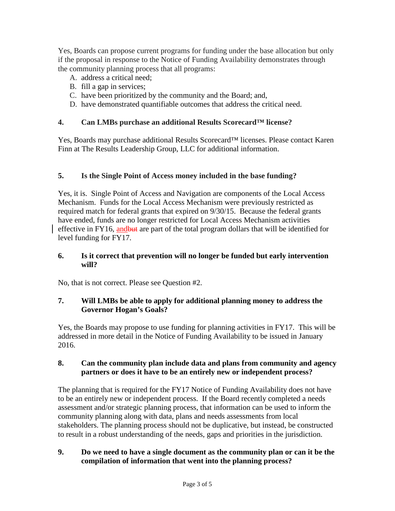Yes, Boards can propose current programs for funding under the base allocation but only if the proposal in response to the Notice of Funding Availability demonstrates through the community planning process that all programs:

- A. address a critical need;
- B. fill a gap in services;
- C. have been prioritized by the community and the Board; and,
- D. have demonstrated quantifiable outcomes that address the critical need.

### **4. Can LMBs purchase an additional Results Scorecard™ license?**

Yes, Boards may purchase additional Results Scorecard™ licenses. Please contact Karen Finn at The Results Leadership Group, LLC for additional information.

## **5. Is the Single Point of Access money included in the base funding?**

Yes, it is. Single Point of Access and Navigation are components of the Local Access Mechanism. Funds for the Local Access Mechanism were previously restricted as required match for federal grants that expired on 9/30/15. Because the federal grants have ended, funds are no longer restricted for Local Access Mechanism activities effective in FY16, andbut are part of the total program dollars that will be identified for level funding for FY17.

#### **6. Is it correct that prevention will no longer be funded but early intervention will?**

No, that is not correct. Please see Question #2.

#### **7. Will LMBs be able to apply for additional planning money to address the Governor Hogan's Goals?**

Yes, the Boards may propose to use funding for planning activities in FY17. This will be addressed in more detail in the Notice of Funding Availability to be issued in January 2016.

#### **8. Can the community plan include data and plans from community and agency partners or does it have to be an entirely new or independent process?**

The planning that is required for the FY17 Notice of Funding Availability does not have to be an entirely new or independent process. If the Board recently completed a needs assessment and/or strategic planning process, that information can be used to inform the community planning along with data, plans and needs assessments from local stakeholders. The planning process should not be duplicative, but instead, be constructed to result in a robust understanding of the needs, gaps and priorities in the jurisdiction.

## **9. Do we need to have a single document as the community plan or can it be the compilation of information that went into the planning process?**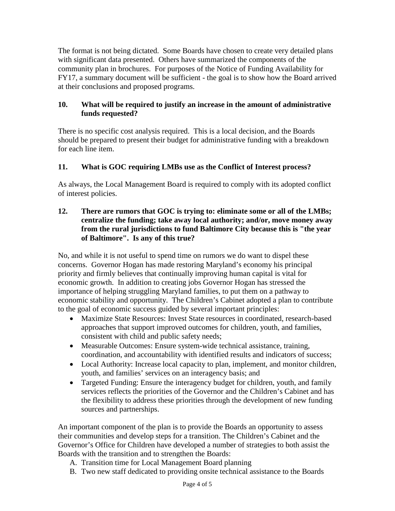The format is not being dictated. Some Boards have chosen to create very detailed plans with significant data presented. Others have summarized the components of the community plan in brochures. For purposes of the Notice of Funding Availability for FY17, a summary document will be sufficient - the goal is to show how the Board arrived at their conclusions and proposed programs.

## **10. What will be required to justify an increase in the amount of administrative funds requested?**

There is no specific cost analysis required. This is a local decision, and the Boards should be prepared to present their budget for administrative funding with a breakdown for each line item.

# **11. What is GOC requiring LMBs use as the Conflict of Interest process?**

As always, the Local Management Board is required to comply with its adopted conflict of interest policies.

#### **12. There are rumors that GOC is trying to: eliminate some or all of the LMBs; centralize the funding; take away local authority; and/or, move money away from the rural jurisdictions to fund Baltimore City because this is "the year of Baltimore". Is any of this true?**

No, and while it is not useful to spend time on rumors we do want to dispel these concerns. Governor Hogan has made restoring Maryland's economy his principal priority and firmly believes that continually improving human capital is vital for economic growth. In addition to creating jobs Governor Hogan has stressed the importance of helping struggling Maryland families, to put them on a pathway to economic stability and opportunity. The Children's Cabinet adopted a plan to contribute to the goal of economic success guided by several important principles:

- Maximize State Resources: Invest State resources in coordinated, research-based approaches that support improved outcomes for children, youth, and families, consistent with child and public safety needs;
- Measurable Outcomes: Ensure system-wide technical assistance, training, coordination, and accountability with identified results and indicators of success;
- Local Authority: Increase local capacity to plan, implement, and monitor children, youth, and families' services on an interagency basis; and
- Targeted Funding: Ensure the interagency budget for children, youth, and family services reflects the priorities of the Governor and the Children's Cabinet and has the flexibility to address these priorities through the development of new funding sources and partnerships.

An important component of the plan is to provide the Boards an opportunity to assess their communities and develop steps for a transition. The Children's Cabinet and the Governor's Office for Children have developed a number of strategies to both assist the Boards with the transition and to strengthen the Boards:

- A. Transition time for Local Management Board planning
- B. Two new staff dedicated to providing onsite technical assistance to the Boards